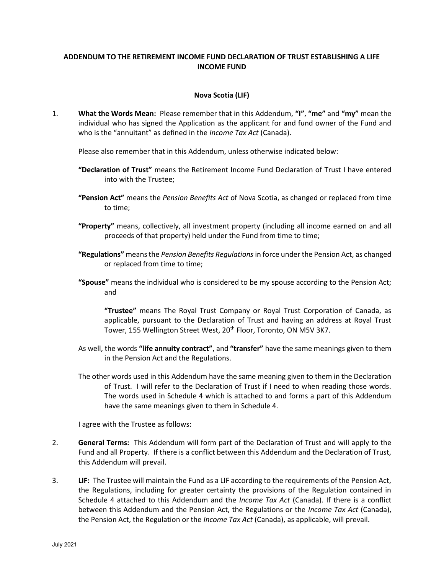# ADDENDUM TO THE RETIREMENT INCOME FUND DECLARATION OF TRUST ESTABLISHING A LIFE INCOME FUND

# Nova Scotia (LIF)

1. What the Words Mean: Please remember that in this Addendum, "I", "me" and "my" mean the individual who has signed the Application as the applicant for and fund owner of the Fund and who is the "annuitant" as defined in the *Income Tax Act* (Canada).

Please also remember that in this Addendum, unless otherwise indicated below:

- "Declaration of Trust" means the Retirement Income Fund Declaration of Trust I have entered into with the Trustee;
- **"Pension Act"** means the Pension Benefits Act of Nova Scotia, as changed or replaced from time to time;
- "Property" means, collectively, all investment property (including all income earned on and all proceeds of that property) held under the Fund from time to time;
- "Regulations" means the Pension Benefits Regulations in force under the Pension Act, as changed or replaced from time to time;
- "Spouse" means the individual who is considered to be my spouse according to the Pension Act; and

"Trustee" means The Royal Trust Company or Royal Trust Corporation of Canada, as applicable, pursuant to the Declaration of Trust and having an address at Royal Trust Tower, 155 Wellington Street West, 20<sup>th</sup> Floor, Toronto, ON M5V 3K7.

- As well, the words "life annuity contract", and "transfer" have the same meanings given to them in the Pension Act and the Regulations.
- The other words used in this Addendum have the same meaning given to them in the Declaration of Trust. I will refer to the Declaration of Trust if I need to when reading those words. The words used in Schedule 4 which is attached to and forms a part of this Addendum have the same meanings given to them in Schedule 4.

I agree with the Trustee as follows:

- 2. General Terms: This Addendum will form part of the Declaration of Trust and will apply to the Fund and all Property. If there is a conflict between this Addendum and the Declaration of Trust, this Addendum will prevail.
- 3. LIF: The Trustee will maintain the Fund as a LIF according to the requirements of the Pension Act, the Regulations, including for greater certainty the provisions of the Regulation contained in Schedule 4 attached to this Addendum and the Income Tax Act (Canada). If there is a conflict between this Addendum and the Pension Act, the Regulations or the Income Tax Act (Canada), the Pension Act, the Regulation or the *Income Tax Act* (Canada), as applicable, will prevail.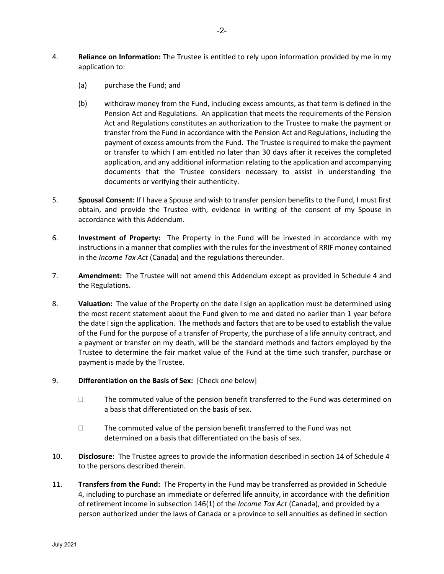- 4. Reliance on Information: The Trustee is entitled to rely upon information provided by me in my application to:
	- (a) purchase the Fund; and
	- (b) withdraw money from the Fund, including excess amounts, as that term is defined in the Pension Act and Regulations. An application that meets the requirements of the Pension Act and Regulations constitutes an authorization to the Trustee to make the payment or transfer from the Fund in accordance with the Pension Act and Regulations, including the payment of excess amounts from the Fund. The Trustee is required to make the payment or transfer to which I am entitled no later than 30 days after it receives the completed application, and any additional information relating to the application and accompanying documents that the Trustee considers necessary to assist in understanding the documents or verifying their authenticity.
- 5. Spousal Consent: If I have a Spouse and wish to transfer pension benefits to the Fund, I must first obtain, and provide the Trustee with, evidence in writing of the consent of my Spouse in accordance with this Addendum.
- 6. Investment of Property: The Property in the Fund will be invested in accordance with my instructions in a manner that complies with the rules for the investment of RRIF money contained in the Income Tax Act (Canada) and the regulations thereunder.
- 7. **Amendment:** The Trustee will not amend this Addendum except as provided in Schedule 4 and the Regulations.
- 8. Valuation: The value of the Property on the date I sign an application must be determined using the most recent statement about the Fund given to me and dated no earlier than 1 year before the date I sign the application. The methods and factors that are to be used to establish the value of the Fund for the purpose of a transfer of Property, the purchase of a life annuity contract, and a payment or transfer on my death, will be the standard methods and factors employed by the Trustee to determine the fair market value of the Fund at the time such transfer, purchase or payment is made by the Trustee.
- 9. Differentiation on the Basis of Sex: [Check one below]
	- $\Box$  The commuted value of the pension benefit transferred to the Fund was determined on a basis that differentiated on the basis of sex.
	- $\Box$  The commuted value of the pension benefit transferred to the Fund was not determined on a basis that differentiated on the basis of sex.
- 10. Disclosure: The Trustee agrees to provide the information described in section 14 of Schedule 4 to the persons described therein.
- 11. **Transfers from the Fund:** The Property in the Fund may be transferred as provided in Schedule 4, including to purchase an immediate or deferred life annuity, in accordance with the definition of retirement income in subsection 146(1) of the *Income Tax Act* (Canada), and provided by a person authorized under the laws of Canada or a province to sell annuities as defined in section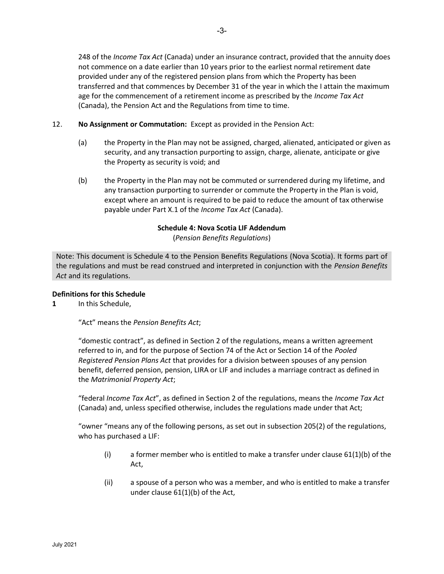248 of the *Income Tax Act* (Canada) under an insurance contract, provided that the annuity does not commence on a date earlier than 10 years prior to the earliest normal retirement date provided under any of the registered pension plans from which the Property has been transferred and that commences by December 31 of the year in which the I attain the maximum age for the commencement of a retirement income as prescribed by the Income Tax Act (Canada), the Pension Act and the Regulations from time to time.

# 12. No Assignment or Commutation: Except as provided in the Pension Act:

- (a) the Property in the Plan may not be assigned, charged, alienated, anticipated or given as security, and any transaction purporting to assign, charge, alienate, anticipate or give the Property as security is void; and
- (b) the Property in the Plan may not be commuted or surrendered during my lifetime, and any transaction purporting to surrender or commute the Property in the Plan is void, except where an amount is required to be paid to reduce the amount of tax otherwise payable under Part X.1 of the Income Tax Act (Canada).

# Schedule 4: Nova Scotia LIF Addendum

(Pension Benefits Regulations)

Note: This document is Schedule 4 to the Pension Benefits Regulations (Nova Scotia). It forms part of the regulations and must be read construed and interpreted in conjunction with the Pension Benefits Act and its regulations.

# Definitions for this Schedule

1 In this Schedule,

"Act" means the Pension Benefits Act;

"domestic contract", as defined in Section 2 of the regulations, means a written agreement referred to in, and for the purpose of Section 74 of the Act or Section 14 of the Pooled Registered Pension Plans Act that provides for a division between spouses of any pension benefit, deferred pension, pension, LIRA or LIF and includes a marriage contract as defined in the Matrimonial Property Act;

"federal Income Tax Act", as defined in Section 2 of the regulations, means the Income Tax Act (Canada) and, unless specified otherwise, includes the regulations made under that Act;

"owner "means any of the following persons, as set out in subsection 205(2) of the regulations, who has purchased a LIF:

- (i) a former member who is entitled to make a transfer under clause  $61(1)(b)$  of the Act,
- (ii) a spouse of a person who was a member, and who is entitled to make a transfer under clause 61(1)(b) of the Act,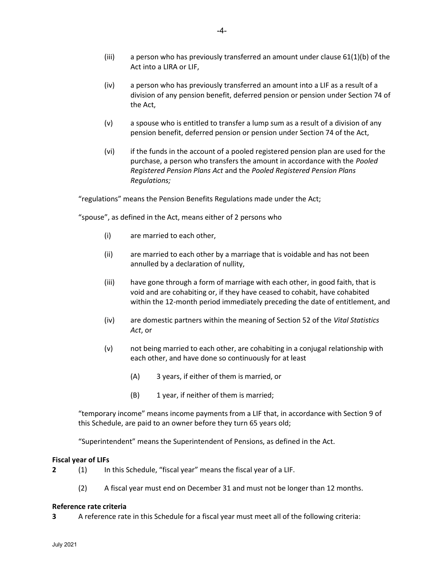- (iii) a person who has previously transferred an amount under clause  $61(1)(b)$  of the Act into a LIRA or LIF,
- (iv) a person who has previously transferred an amount into a LIF as a result of a division of any pension benefit, deferred pension or pension under Section 74 of the Act,
- (v) a spouse who is entitled to transfer a lump sum as a result of a division of any pension benefit, deferred pension or pension under Section 74 of the Act,
- (vi) if the funds in the account of a pooled registered pension plan are used for the purchase, a person who transfers the amount in accordance with the Pooled Registered Pension Plans Act and the Pooled Registered Pension Plans Regulations;

"regulations" means the Pension Benefits Regulations made under the Act;

"spouse", as defined in the Act, means either of 2 persons who

- (i) are married to each other,
- (ii) are married to each other by a marriage that is voidable and has not been annulled by a declaration of nullity,
- (iii) have gone through a form of marriage with each other, in good faith, that is void and are cohabiting or, if they have ceased to cohabit, have cohabited within the 12-month period immediately preceding the date of entitlement, and
- (iv) are domestic partners within the meaning of Section 52 of the Vital Statistics Act, or
- (v) not being married to each other, are cohabiting in a conjugal relationship with each other, and have done so continuously for at least
	- (A) 3 years, if either of them is married, or
	- (B) 1 year, if neither of them is married;

"temporary income" means income payments from a LIF that, in accordance with Section 9 of this Schedule, are paid to an owner before they turn 65 years old;

"Superintendent" means the Superintendent of Pensions, as defined in the Act.

#### Fiscal year of LIFs

- 2 (1) In this Schedule, "fiscal year" means the fiscal year of a LIF.
	- (2) A fiscal year must end on December 31 and must not be longer than 12 months.

#### Reference rate criteria

3 A reference rate in this Schedule for a fiscal year must meet all of the following criteria: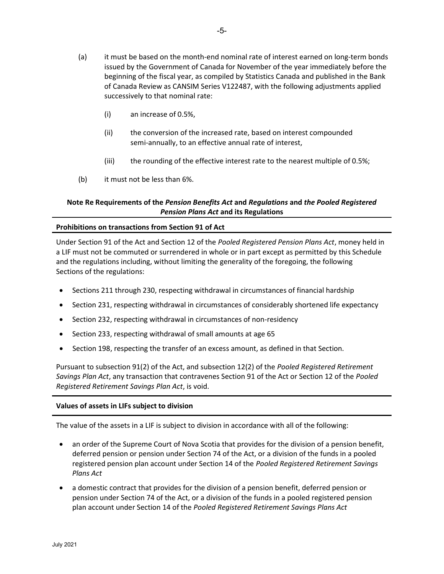-5-

- (a) it must be based on the month-end nominal rate of interest earned on long-term bonds issued by the Government of Canada for November of the year immediately before the beginning of the fiscal year, as compiled by Statistics Canada and published in the Bank of Canada Review as CANSIM Series V122487, with the following adjustments applied successively to that nominal rate:
	- (i) an increase of 0.5%,
	- (ii) the conversion of the increased rate, based on interest compounded semi-annually, to an effective annual rate of interest,
	- (iii) the rounding of the effective interest rate to the nearest multiple of 0.5%;
- (b) it must not be less than 6%.

# Note Re Requirements of the Pension Benefits Act and Regulations and the Pooled Registered Pension Plans Act and its Regulations

# Prohibitions on transactions from Section 91 of Act

Under Section 91 of the Act and Section 12 of the Pooled Registered Pension Plans Act, money held in a LIF must not be commuted or surrendered in whole or in part except as permitted by this Schedule and the regulations including, without limiting the generality of the foregoing, the following Sections of the regulations:

- Sections 211 through 230, respecting withdrawal in circumstances of financial hardship
- Section 231, respecting withdrawal in circumstances of considerably shortened life expectancy
- Section 232, respecting withdrawal in circumstances of non-residency
- Section 233, respecting withdrawal of small amounts at age 65
- Section 198, respecting the transfer of an excess amount, as defined in that Section.

Pursuant to subsection 91(2) of the Act, and subsection 12(2) of the Pooled Registered Retirement Savings Plan Act, any transaction that contravenes Section 91 of the Act or Section 12 of the Pooled Registered Retirement Savings Plan Act, is void.

#### Values of assets in LIFs subject to division

The value of the assets in a LIF is subject to division in accordance with all of the following:

- an order of the Supreme Court of Nova Scotia that provides for the division of a pension benefit, deferred pension or pension under Section 74 of the Act, or a division of the funds in a pooled registered pension plan account under Section 14 of the Pooled Registered Retirement Savings Plans Act
- a domestic contract that provides for the division of a pension benefit, deferred pension or pension under Section 74 of the Act, or a division of the funds in a pooled registered pension plan account under Section 14 of the Pooled Registered Retirement Savings Plans Act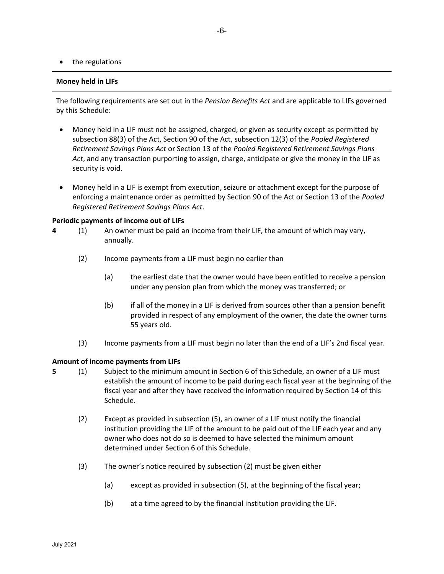# the regulations

#### Money held in LIFs

The following requirements are set out in the Pension Benefits Act and are applicable to LIFs governed by this Schedule:

- Money held in a LIF must not be assigned, charged, or given as security except as permitted by subsection 88(3) of the Act, Section 90 of the Act, subsection 12(3) of the Pooled Registered Retirement Savings Plans Act or Section 13 of the Pooled Registered Retirement Savings Plans Act, and any transaction purporting to assign, charge, anticipate or give the money in the LIF as security is void.
- Money held in a LIF is exempt from execution, seizure or attachment except for the purpose of enforcing a maintenance order as permitted by Section 90 of the Act or Section 13 of the Pooled Registered Retirement Savings Plans Act.

#### Periodic payments of income out of LIFs

- 4 (1) An owner must be paid an income from their LIF, the amount of which may vary, annually.
	- (2) Income payments from a LIF must begin no earlier than
		- (a) the earliest date that the owner would have been entitled to receive a pension under any pension plan from which the money was transferred; or
		- (b) if all of the money in a LIF is derived from sources other than a pension benefit provided in respect of any employment of the owner, the date the owner turns 55 years old.
	- (3) Income payments from a LIF must begin no later than the end of a LIF's 2nd fiscal year.

#### Amount of income payments from LIFs

- 5 (1) Subject to the minimum amount in Section 6 of this Schedule, an owner of a LIF must establish the amount of income to be paid during each fiscal year at the beginning of the fiscal year and after they have received the information required by Section 14 of this Schedule.
	- (2) Except as provided in subsection (5), an owner of a LIF must notify the financial institution providing the LIF of the amount to be paid out of the LIF each year and any owner who does not do so is deemed to have selected the minimum amount determined under Section 6 of this Schedule.
	- (3) The owner's notice required by subsection (2) must be given either
		- (a) except as provided in subsection (5), at the beginning of the fiscal year;
		- (b) at a time agreed to by the financial institution providing the LIF.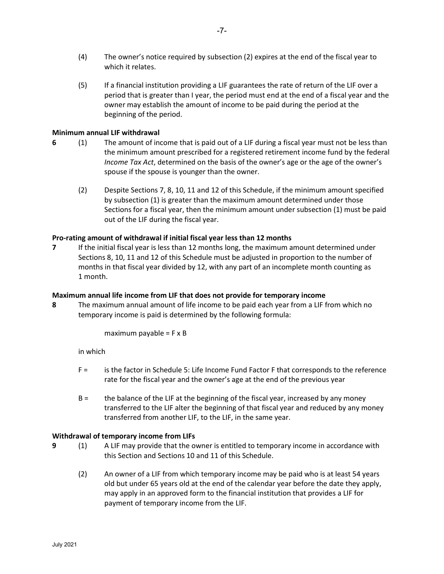- (4) The owner's notice required by subsection (2) expires at the end of the fiscal year to which it relates.
- (5) If a financial institution providing a LIF guarantees the rate of return of the LIF over a period that is greater than I year, the period must end at the end of a fiscal year and the owner may establish the amount of income to be paid during the period at the beginning of the period.

# Minimum annual LIF withdrawal

- 6 (1) The amount of income that is paid out of a LIF during a fiscal year must not be less than the minimum amount prescribed for a registered retirement income fund by the federal Income Tax Act, determined on the basis of the owner's age or the age of the owner's spouse if the spouse is younger than the owner.
	- (2) Despite Sections 7, 8, 10, 11 and 12 of this Schedule, if the minimum amount specified by subsection (1) is greater than the maximum amount determined under those Sections for a fiscal year, then the minimum amount under subsection (1) must be paid out of the LIF during the fiscal year.

# Pro-rating amount of withdrawal if initial fiscal year less than 12 months

7 If the initial fiscal year is less than 12 months long, the maximum amount determined under Sections 8, 10, 11 and 12 of this Schedule must be adjusted in proportion to the number of months in that fiscal year divided by 12, with any part of an incomplete month counting as 1 month.

# Maximum annual life income from LIF that does not provide for temporary income

8 The maximum annual amount of life income to be paid each year from a LIF from which no temporary income is paid is determined by the following formula:

maximum payable  $=$  F  $\times$  B

in which

- F = is the factor in Schedule 5: Life Income Fund Factor F that corresponds to the reference rate for the fiscal year and the owner's age at the end of the previous year
- B = the balance of the LIF at the beginning of the fiscal year, increased by any money transferred to the LIF alter the beginning of that fiscal year and reduced by any money transferred from another LIF, to the LIF, in the same year.

#### Withdrawal of temporary income from LIFs

- 9 (1) A LIF may provide that the owner is entitled to temporary income in accordance with this Section and Sections 10 and 11 of this Schedule.
	- (2) An owner of a LIF from which temporary income may be paid who is at least 54 years old but under 65 years old at the end of the calendar year before the date they apply, may apply in an approved form to the financial institution that provides a LIF for payment of temporary income from the LIF.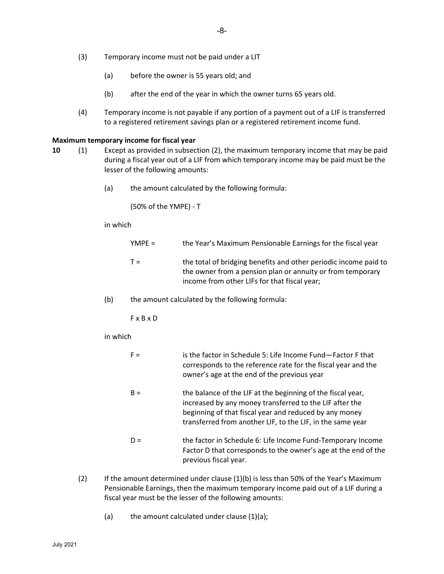- (3) Temporary income must not be paid under a LIT
	- (a) before the owner is 55 years old; and
	- (b) after the end of the year in which the owner turns 65 years old.
- (4) Temporary income is not payable if any portion of a payment out of a LIF is transferred to a registered retirement savings plan or a registered retirement income fund.

#### Maximum temporary income for fiscal year

- 10 (1) Except as provided in subsection (2), the maximum temporary income that may be paid during a fiscal year out of a LIF from which temporary income may be paid must be the lesser of the following amounts:
	- (a) the amount calculated by the following formula:

(50% of the YMPE) - T

#### in which

| YMPE = | the Year's Maximum Pensionable Earnings for the fiscal year      |
|--------|------------------------------------------------------------------|
| T =    | the total of bridging benefits and other periodic income paid to |

- the total of bridging benefits and other periodic income paid to the owner from a pension plan or annuity or from temporary income from other LIFs for that fiscal year;
- (b) the amount calculated by the following formula:

F x B x D

#### in which

| $F =$ | is the factor in Schedule 5: Life Income Fund-Factor F that   |
|-------|---------------------------------------------------------------|
|       | corresponds to the reference rate for the fiscal year and the |
|       | owner's age at the end of the previous year                   |

- B = the balance of the LIF at the beginning of the fiscal year, increased by any money transferred to the LIF after the beginning of that fiscal year and reduced by any money transferred from another LIF, to the LIF, in the same year
- D = the factor in Schedule 6: Life Income Fund-Temporary Income Factor D that corresponds to the owner's age at the end of the previous fiscal year.
- (2) If the amount determined under clause  $(1)(b)$  is less than 50% of the Year's Maximum Pensionable Earnings, then the maximum temporary income paid out of a LIF during a fiscal year must be the lesser of the following amounts:
	- (a) the amount calculated under clause  $(1)(a)$ ;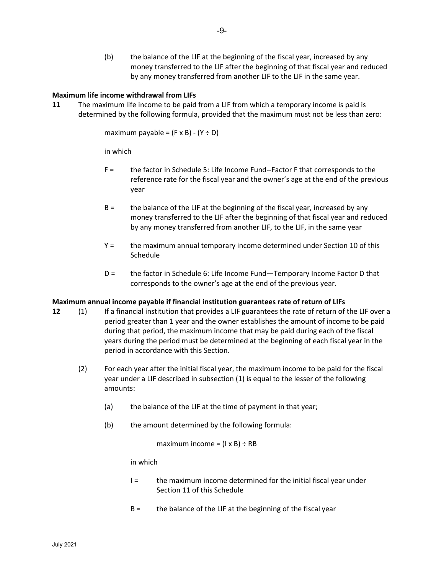(b) the balance of the LIF at the beginning of the fiscal year, increased by any money transferred to the LIF after the beginning of that fiscal year and reduced by any money transferred from another LIF to the LIF in the same year.

# Maximum life income withdrawal from LIFs

11 The maximum life income to be paid from a LIF from which a temporary income is paid is determined by the following formula, provided that the maximum must not be less than zero:

maximum payable =  $(F \times B) - (Y \div D)$ 

in which

- F = the factor in Schedule 5: Life Income Fund--Factor F that corresponds to the reference rate for the fiscal year and the owner's age at the end of the previous year
- B = the balance of the LIF at the beginning of the fiscal year, increased by any money transferred to the LIF after the beginning of that fiscal year and reduced by any money transferred from another LIF, to the LIF, in the same year
- Y = the maximum annual temporary income determined under Section 10 of this Schedule
- D = the factor in Schedule 6: Life Income Fund—Temporary Income Factor D that corresponds to the owner's age at the end of the previous year.

# Maximum annual income payable if financial institution guarantees rate of return of LIFs

- 12 (1) If a financial institution that provides a LIF guarantees the rate of return of the LIF over a period greater than 1 year and the owner establishes the amount of income to be paid during that period, the maximum income that may be paid during each of the fiscal years during the period must be determined at the beginning of each fiscal year in the period in accordance with this Section.
	- (2) For each year after the initial fiscal year, the maximum income to be paid for the fiscal year under a LIF described in subsection (1) is equal to the lesser of the following amounts:
		- (a) the balance of the LIF at the time of payment in that year;
		- (b) the amount determined by the following formula:

maximum income =  $(I \times B) \div RB$ 

in which

- $I =$  the maximum income determined for the initial fiscal year under Section 11 of this Schedule
- B = the balance of the LIF at the beginning of the fiscal year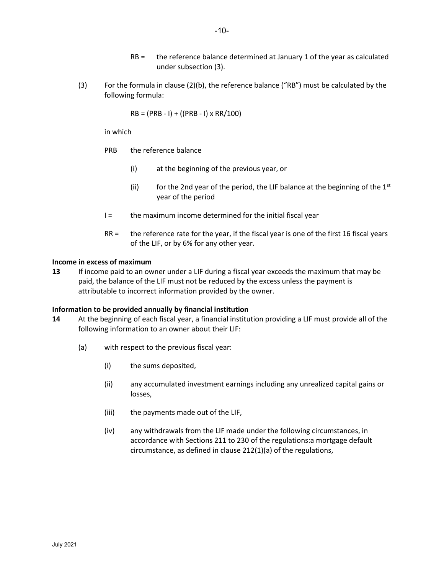- RB = the reference balance determined at January 1 of the year as calculated under subsection (3).
- (3) For the formula in clause (2)(b), the reference balance ("RB") must be calculated by the following formula:

 $RB = (PRB - I) + ((PRB - I) \times RR/100)$ 

in which

- PRB the reference balance
	- (i) at the beginning of the previous year, or
	- (ii) for the 2nd year of the period, the LIF balance at the beginning of the  $1<sup>st</sup>$ year of the period
- I = the maximum income determined for the initial fiscal year
- RR = the reference rate for the year, if the fiscal year is one of the first 16 fiscal years of the LIF, or by 6% for any other year.

# Income in excess of maximum

13 If income paid to an owner under a LIF during a fiscal year exceeds the maximum that may be paid, the balance of the LIF must not be reduced by the excess unless the payment is attributable to incorrect information provided by the owner.

# Information to be provided annually by financial institution

- 14 At the beginning of each fiscal year, a financial institution providing a LIF must provide all of the following information to an owner about their LIF:
	- (a) with respect to the previous fiscal year:
		- (i) the sums deposited,
		- (ii) any accumulated investment earnings including any unrealized capital gains or losses,
		- (iii) the payments made out of the LIF,
		- (iv) any withdrawals from the LIF made under the following circumstances, in accordance with Sections 211 to 230 of the regulations:a mortgage default circumstance, as defined in clause 212(1)(a) of the regulations,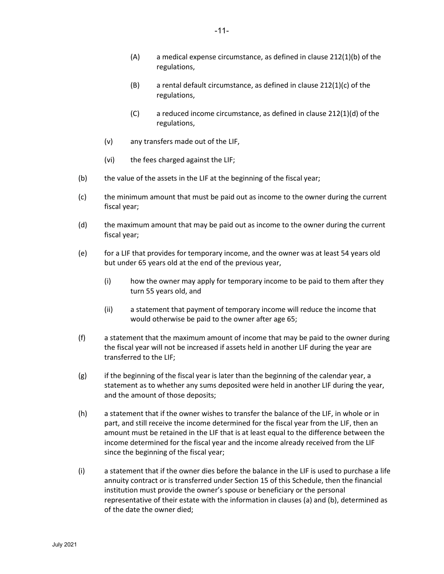- (A) a medical expense circumstance, as defined in clause 212(1)(b) of the regulations,
- $(B)$  a rental default circumstance, as defined in clause 212(1)(c) of the regulations,
- (C) a reduced income circumstance, as defined in clause 212(1)(d) of the regulations,
- (v) any transfers made out of the LIF,
- (vi) the fees charged against the LIF;
- (b) the value of the assets in the LIF at the beginning of the fiscal year;
- (c) the minimum amount that must be paid out as income to the owner during the current fiscal year;
- (d) the maximum amount that may be paid out as income to the owner during the current fiscal year;
- (e) for a LIF that provides for temporary income, and the owner was at least 54 years old but under 65 years old at the end of the previous year,
	- (i) how the owner may apply for temporary income to be paid to them after they turn 55 years old, and
	- (ii) a statement that payment of temporary income will reduce the income that would otherwise be paid to the owner after age 65;
- (f) a statement that the maximum amount of income that may be paid to the owner during the fiscal year will not be increased if assets held in another LIF during the year are transferred to the LIF;
- $(g)$  if the beginning of the fiscal year is later than the beginning of the calendar year, a statement as to whether any sums deposited were held in another LIF during the year, and the amount of those deposits;
- (h) a statement that if the owner wishes to transfer the balance of the LIF, in whole or in part, and still receive the income determined for the fiscal year from the LIF, then an amount must be retained in the LIF that is at least equal to the difference between the income determined for the fiscal year and the income already received from the LIF since the beginning of the fiscal year;
- (i) a statement that if the owner dies before the balance in the LIF is used to purchase a life annuity contract or is transferred under Section 15 of this Schedule, then the financial institution must provide the owner's spouse or beneficiary or the personal representative of their estate with the information in clauses (a) and (b), determined as of the date the owner died;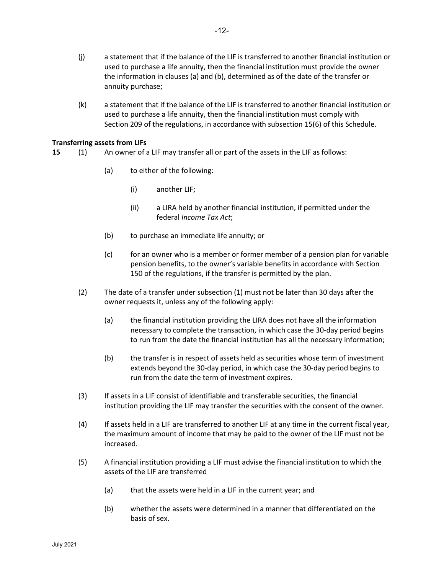- (j) a statement that if the balance of the LIF is transferred to another financial institution or used to purchase a life annuity, then the financial institution must provide the owner the information in clauses (a) and (b), determined as of the date of the transfer or annuity purchase;
- (k) a statement that if the balance of the LIF is transferred to another financial institution or used to purchase a life annuity, then the financial institution must comply with Section 209 of the regulations, in accordance with subsection 15(6) of this Schedule.

# Transferring assets from LIFs

- 15 (1) An owner of a LIF may transfer all or part of the assets in the LIF as follows:
	- (a) to either of the following:
		- (i) another LIF;
		- (ii) a LIRA held by another financial institution, if permitted under the federal Income Tax Act;
	- (b) to purchase an immediate life annuity; or
	- $(c)$  for an owner who is a member or former member of a pension plan for variable pension benefits, to the owner's variable benefits in accordance with Section 150 of the regulations, if the transfer is permitted by the plan.
	- (2) The date of a transfer under subsection (1) must not be later than 30 days after the owner requests it, unless any of the following apply:
		- (a) the financial institution providing the LIRA does not have all the information necessary to complete the transaction, in which case the 30-day period begins to run from the date the financial institution has all the necessary information;
		- (b) the transfer is in respect of assets held as securities whose term of investment extends beyond the 30-day period, in which case the 30-day period begins to run from the date the term of investment expires.
	- (3) If assets in a LIF consist of identifiable and transferable securities, the financial institution providing the LIF may transfer the securities with the consent of the owner.
	- (4) If assets held in a LIF are transferred to another LIF at any time in the current fiscal year, the maximum amount of income that may be paid to the owner of the LIF must not be increased.
	- (5) A financial institution providing a LIF must advise the financial institution to which the assets of the LIF are transferred
		- (a) that the assets were held in a LIF in the current year; and
		- (b) whether the assets were determined in a manner that differentiated on the basis of sex.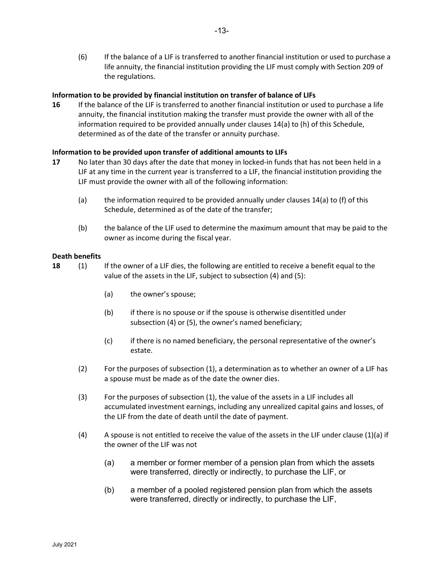(6) If the balance of a LIF is transferred to another financial institution or used to purchase a life annuity, the financial institution providing the LIF must comply with Section 209 of the regulations.

# Information to be provided by financial institution on transfer of balance of LIFs

16 If the balance of the LIF is transferred to another financial institution or used to purchase a life annuity, the financial institution making the transfer must provide the owner with all of the information required to be provided annually under clauses 14(a) to (h) of this Schedule, determined as of the date of the transfer or annuity purchase.

# Information to be provided upon transfer of additional amounts to LIFs

- 17 No later than 30 days after the date that money in locked-in funds that has not been held in a LIF at any time in the current year is transferred to a LIF, the financial institution providing the LIF must provide the owner with all of the following information:
	- (a) the information required to be provided annually under clauses  $14(a)$  to (f) of this Schedule, determined as of the date of the transfer;
	- (b) the balance of the LIF used to determine the maximum amount that may be paid to the owner as income during the fiscal year.

#### Death benefits

- 18 (1) If the owner of a LIF dies, the following are entitled to receive a benefit equal to the value of the assets in the LIF, subject to subsection (4) and (5):
	- (a) the owner's spouse;
	- (b) if there is no spouse or if the spouse is otherwise disentitled under subsection (4) or (5), the owner's named beneficiary;
	- (c) if there is no named beneficiary, the personal representative of the owner's estate.
	- (2) For the purposes of subsection (1), a determination as to whether an owner of a LIF has a spouse must be made as of the date the owner dies.
	- (3) For the purposes of subsection (1), the value of the assets in a LIF includes all accumulated investment earnings, including any unrealized capital gains and losses, of the LIF from the date of death until the date of payment.
	- (4) A spouse is not entitled to receive the value of the assets in the LIF under clause  $(1)(a)$  if the owner of the LIF was not
		- (a) a member or former member of a pension plan from which the assets were transferred, directly or indirectly, to purchase the LIF, or
		- (b) a member of a pooled registered pension plan from which the assets were transferred, directly or indirectly, to purchase the LIF,